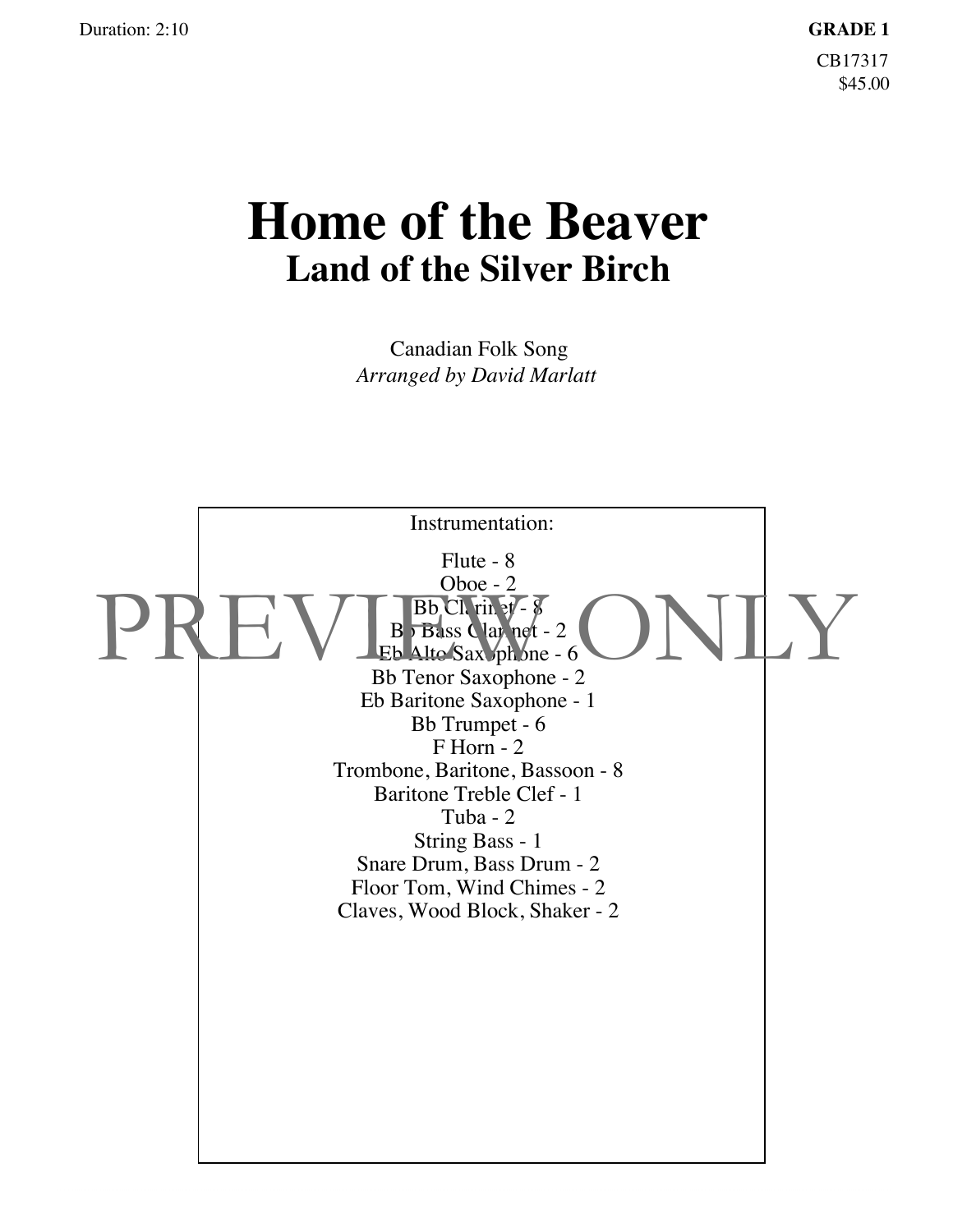## **Home of the Beaver Land of the Silver Birch**

*Arranged by David Marlatt* Canadian Folk Song

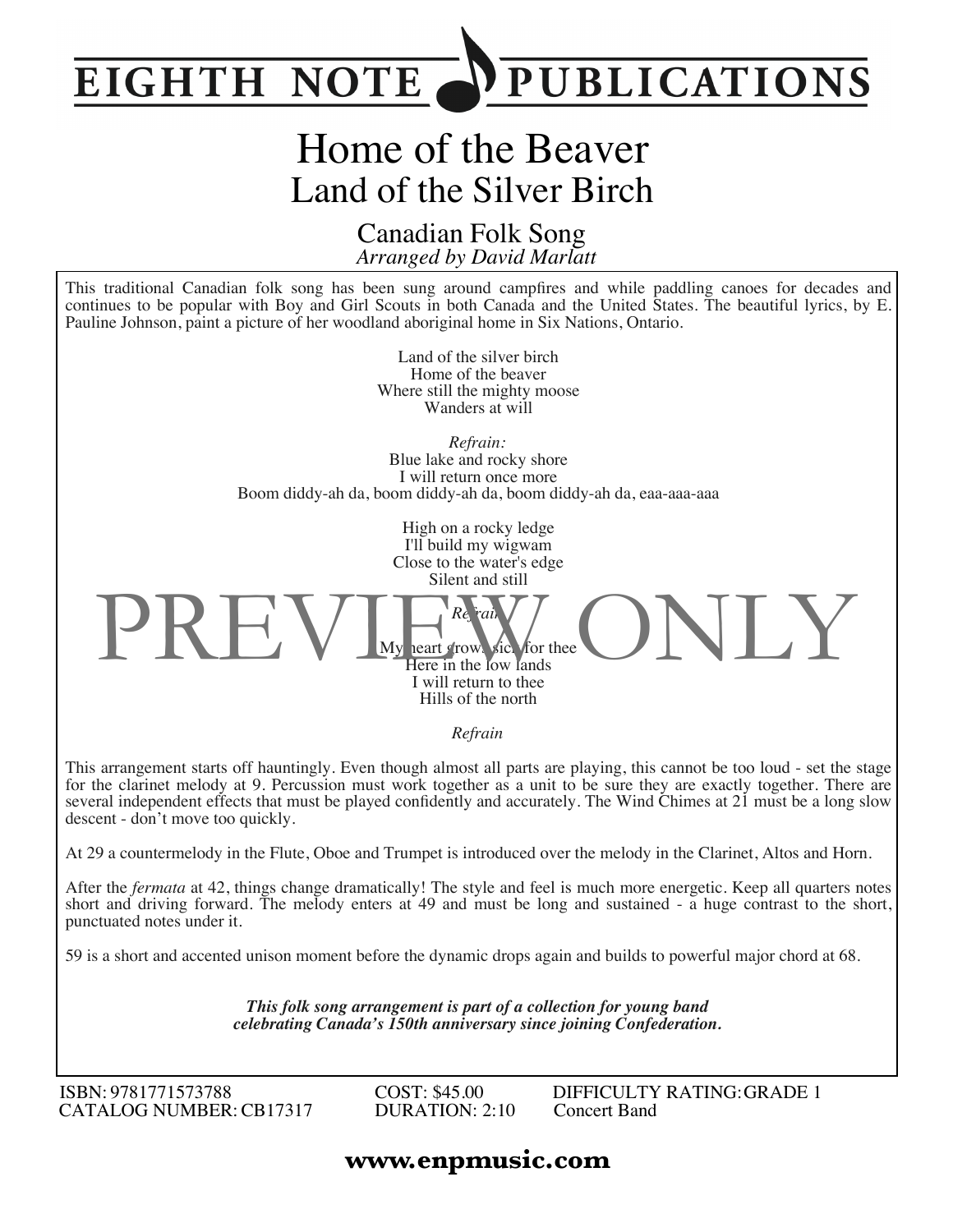## **PUBLICATIONS EIGHTH NOTE**

## Home of the Beaver Land of the Silver Birch

*Arranged by David Marlatt* Canadian Folk Song

This traditional Canadian folk song has been sung around campfires and while paddling canoes for decades and continues to be popular with Boy and Girl Scouts in both Canada and the United States. The beautiful lyrics, by E. Pauline Johnson, paint a picture of her woodland aboriginal home in Six Nations, Ontario.

> Land of the silver birch Home of the beaver Where still the mighty moose Wanders at will

*Refrain:* Blue lake and rocky shore I will return once more Boom diddy-ah da, boom diddy-ah da, boom diddy-ah da, eaa-aaa-aaa

> High on a rocky ledge I'll build my wigwam Close to the water's edge Silent and still

*Refrain* heart grows sick for thee Here in the low lands I will return to thee Hills of the north  $PREN$   $N$   $\left|\bigcup_{M_V}\right|$  reart grows sick for thee  $\left(\bigcup_{M_V}\right)$ 

*Refrain*

This arrangement starts off hauntingly. Even though almost all parts are playing, this cannot be too loud - set the stage for the clarinet melody at 9. Percussion must work together as a unit to be sure they are exactly together. There are several independent effects that must be played confidently and accurately. The Wind Chimes at 21 must be a long slow descent - don't move too quickly.

At 29 a countermelody in the Flute, Oboe and Trumpet is introduced over the melody in the Clarinet, Altos and Horn.

After the *fermata* at 42, things change dramatically! The style and feel is much more energetic. Keep all quarters notes short and driving forward. The melody enters at 49 and must be long and sustained - a huge contrast to the short, punctuated notes under it.

59 is a short and accented unison moment before the dynamic drops again and builds to powerful major chord at 68.

*This folk song arrangement is part of a collection for young band celebrating Canada's 150th anniversary since joining Confederation.*

ISBN: 9781771573788 CATALOG NUMBER:CB17317 COST: \$45.00 DURATION: 2:10 DIFFICULTY RATING:GRADE 1 Concert Band

## **www.enpmusic.com**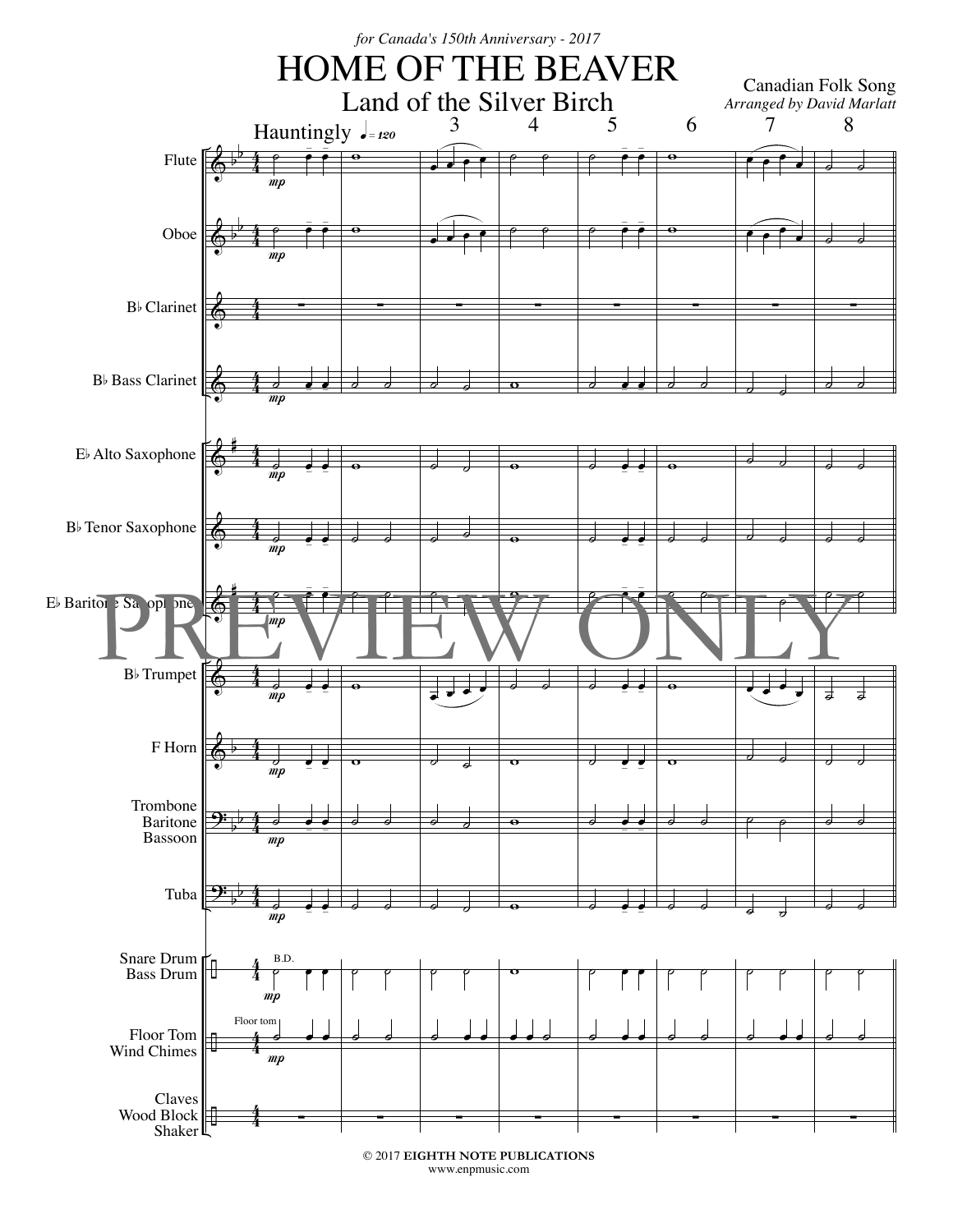

© 2017 **EIGHTH NOTE PUBLICATIONS** www.enpmusic.com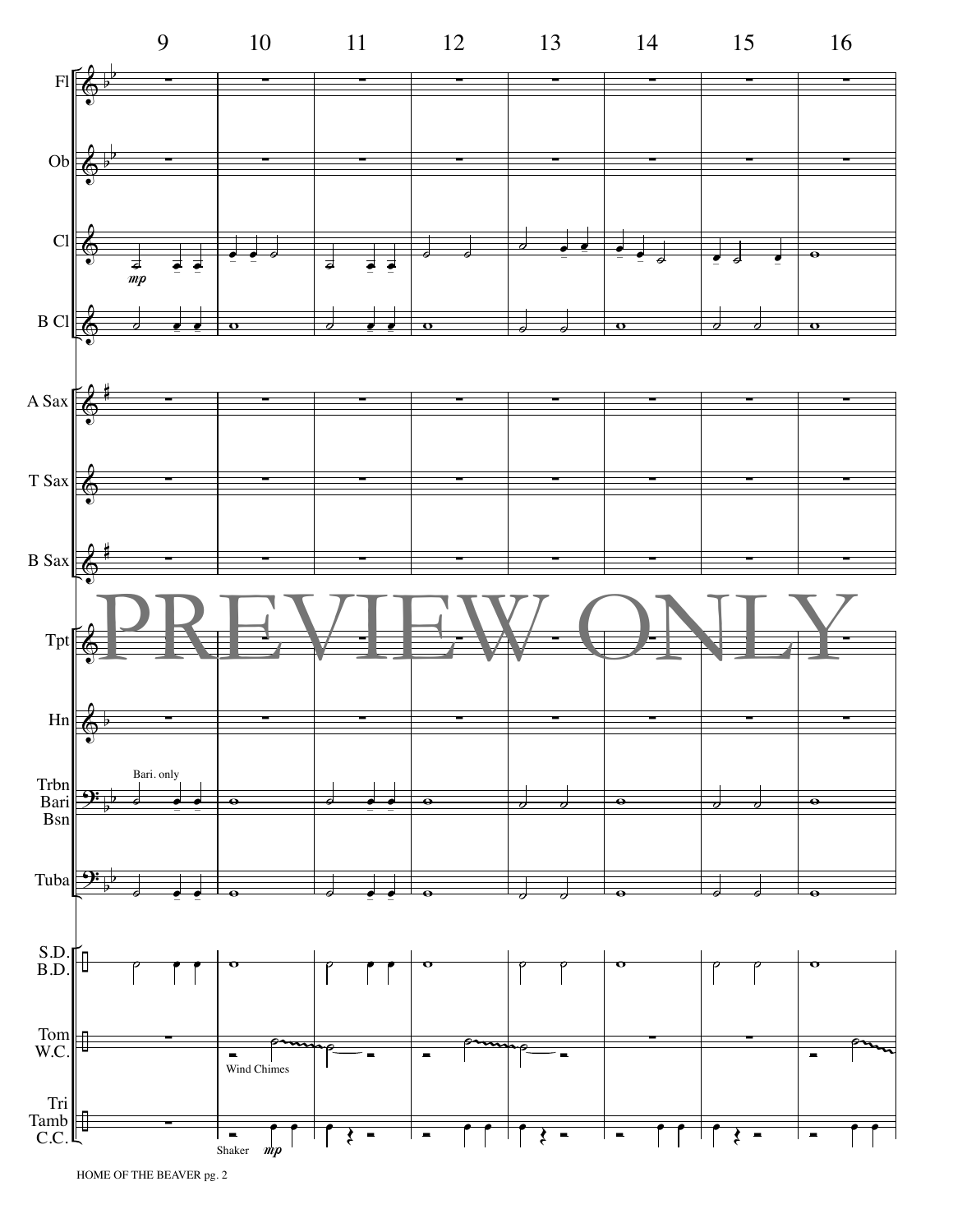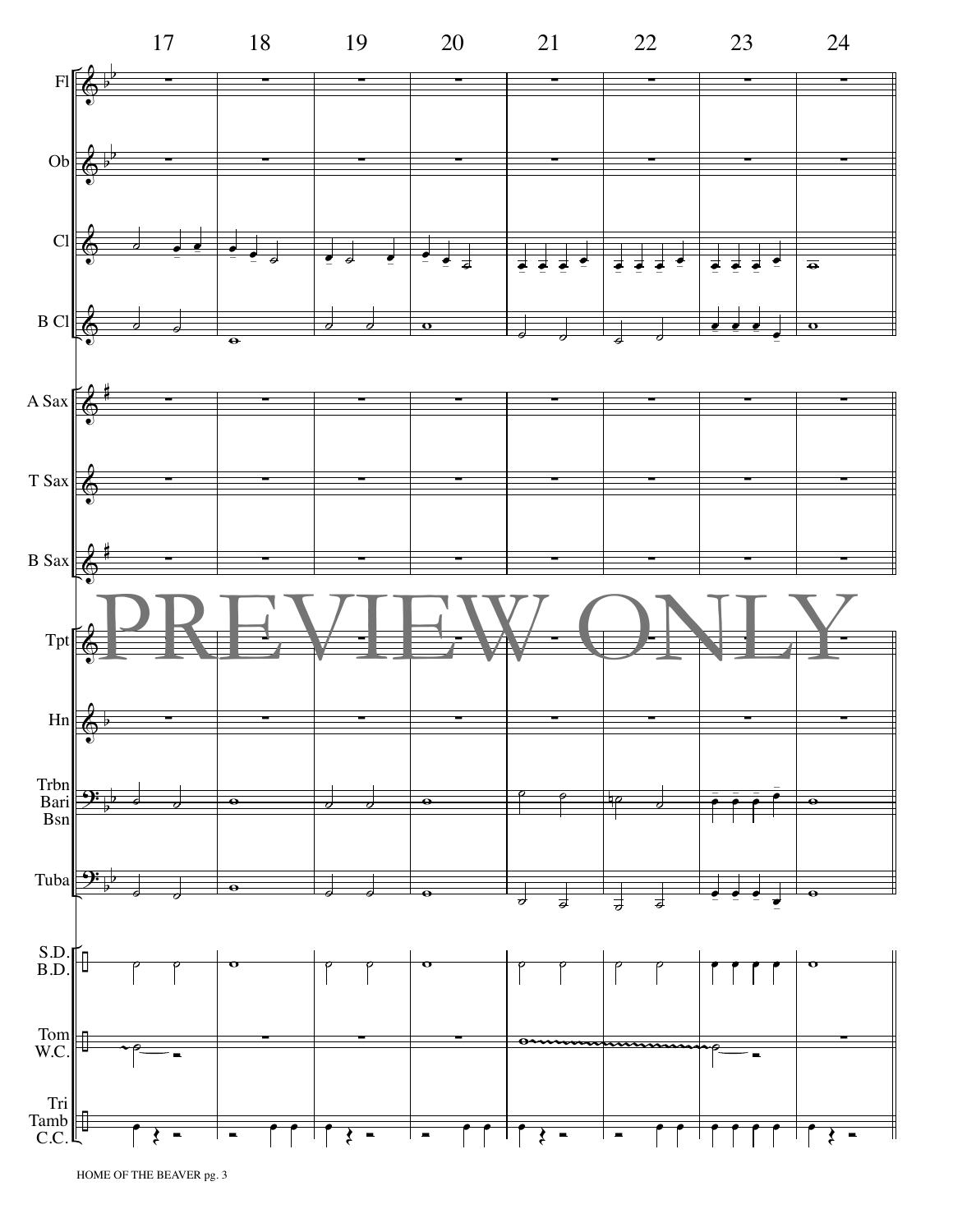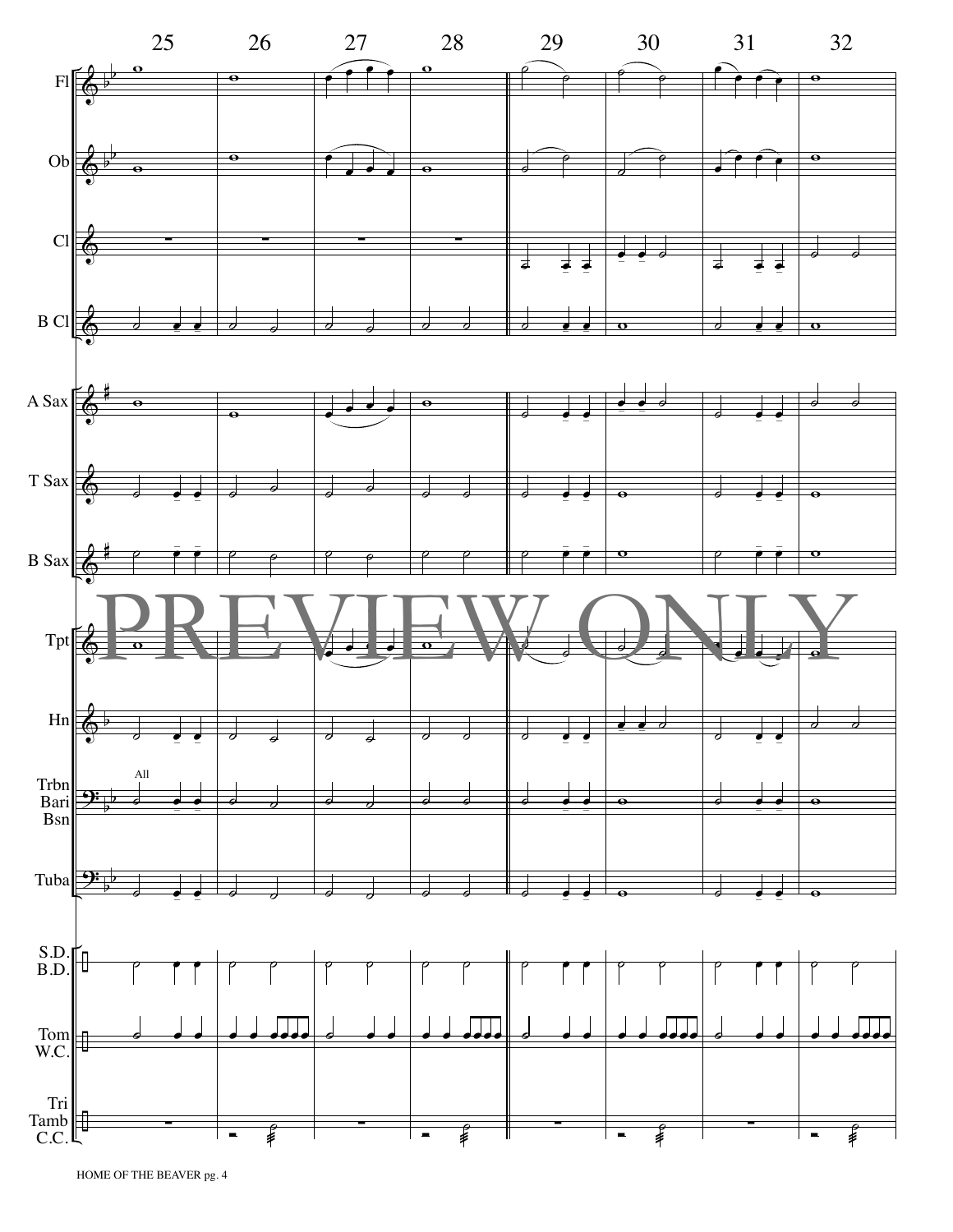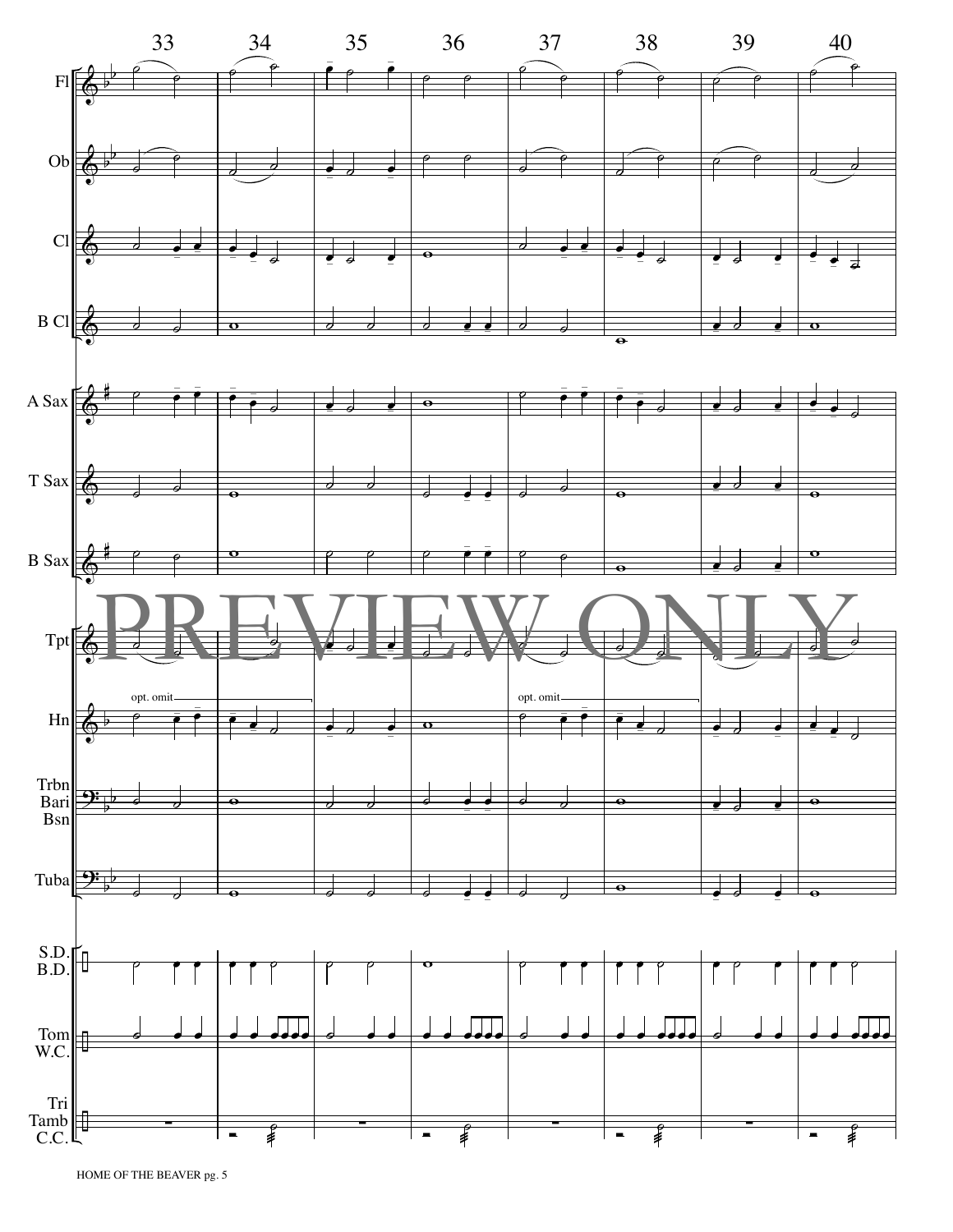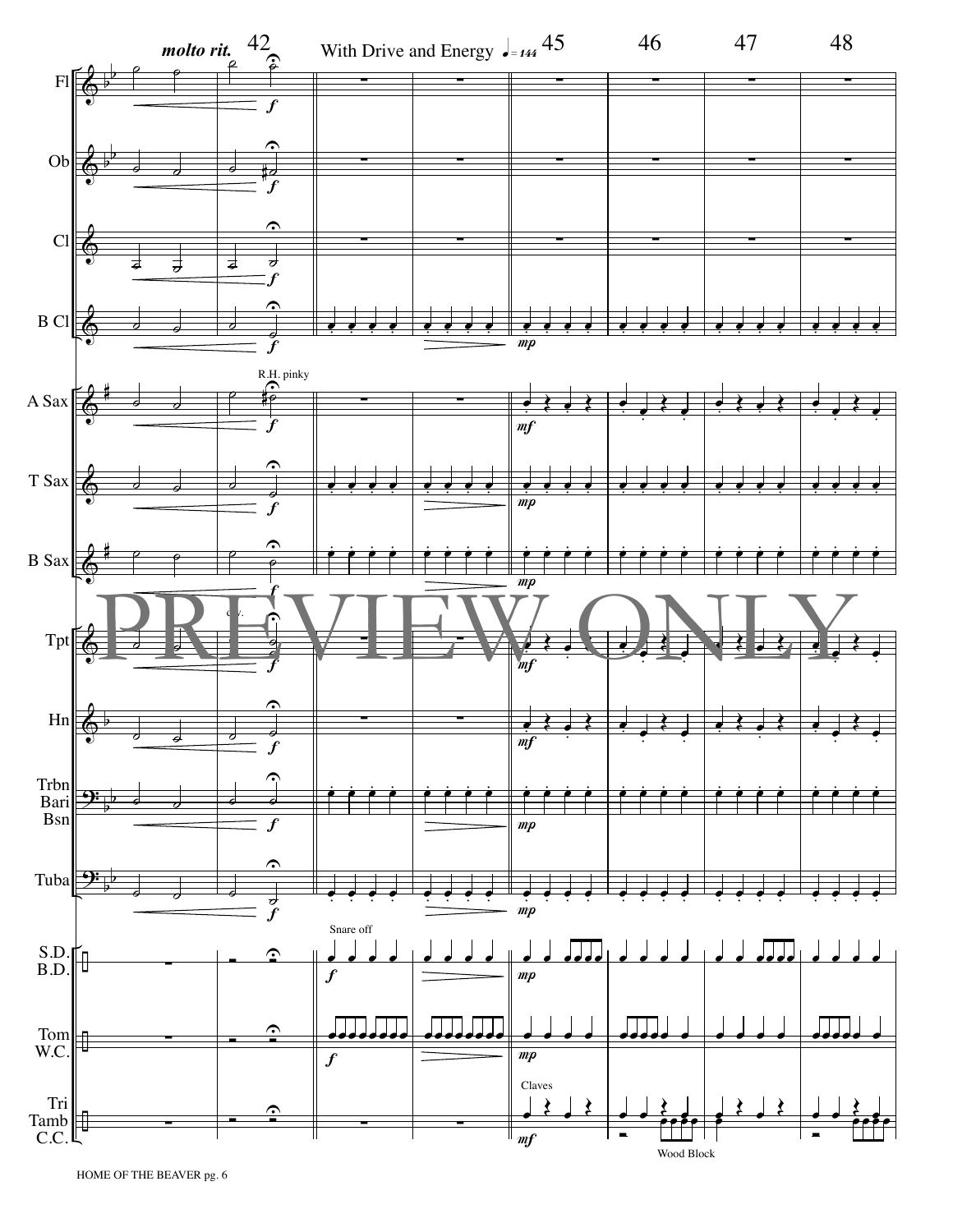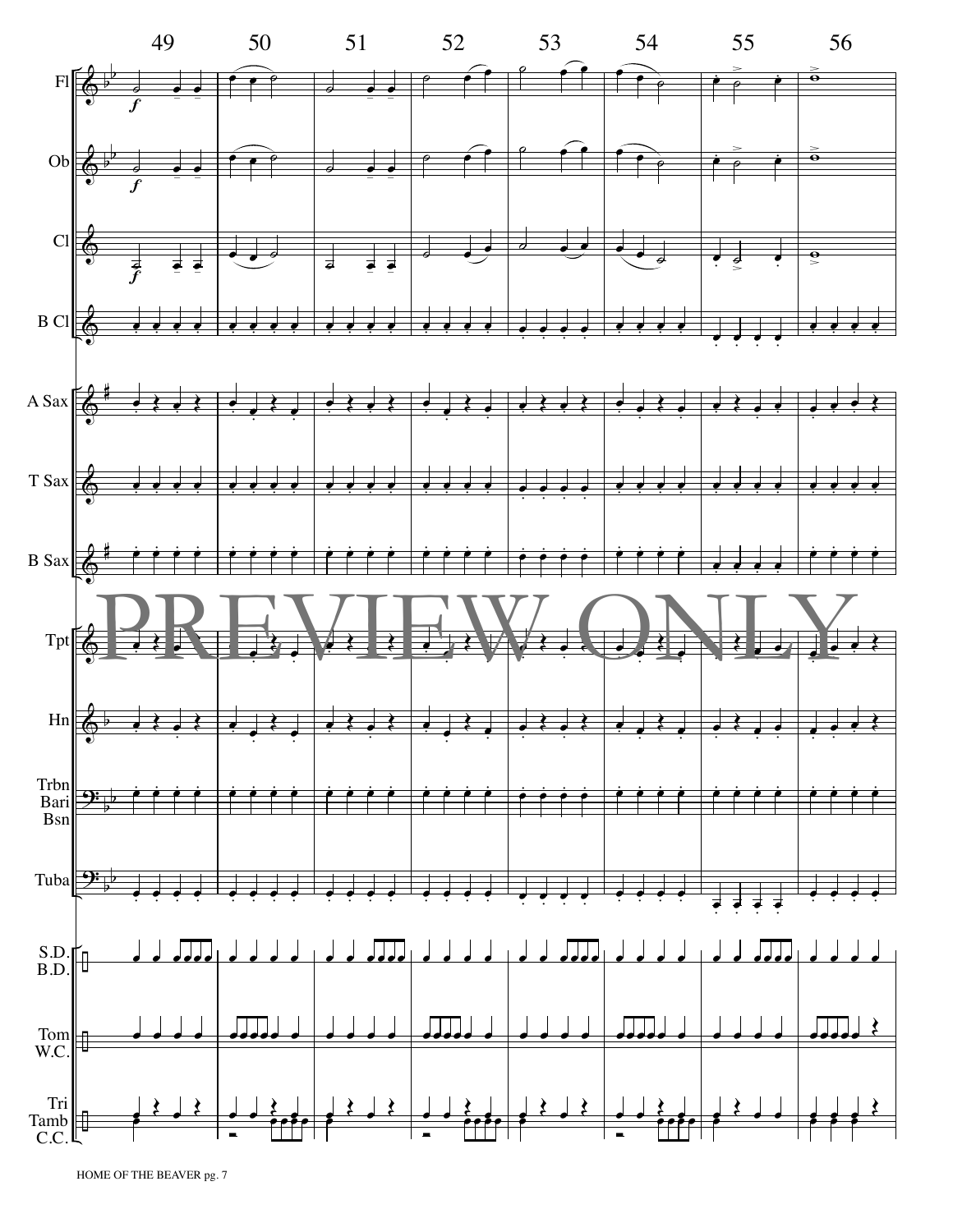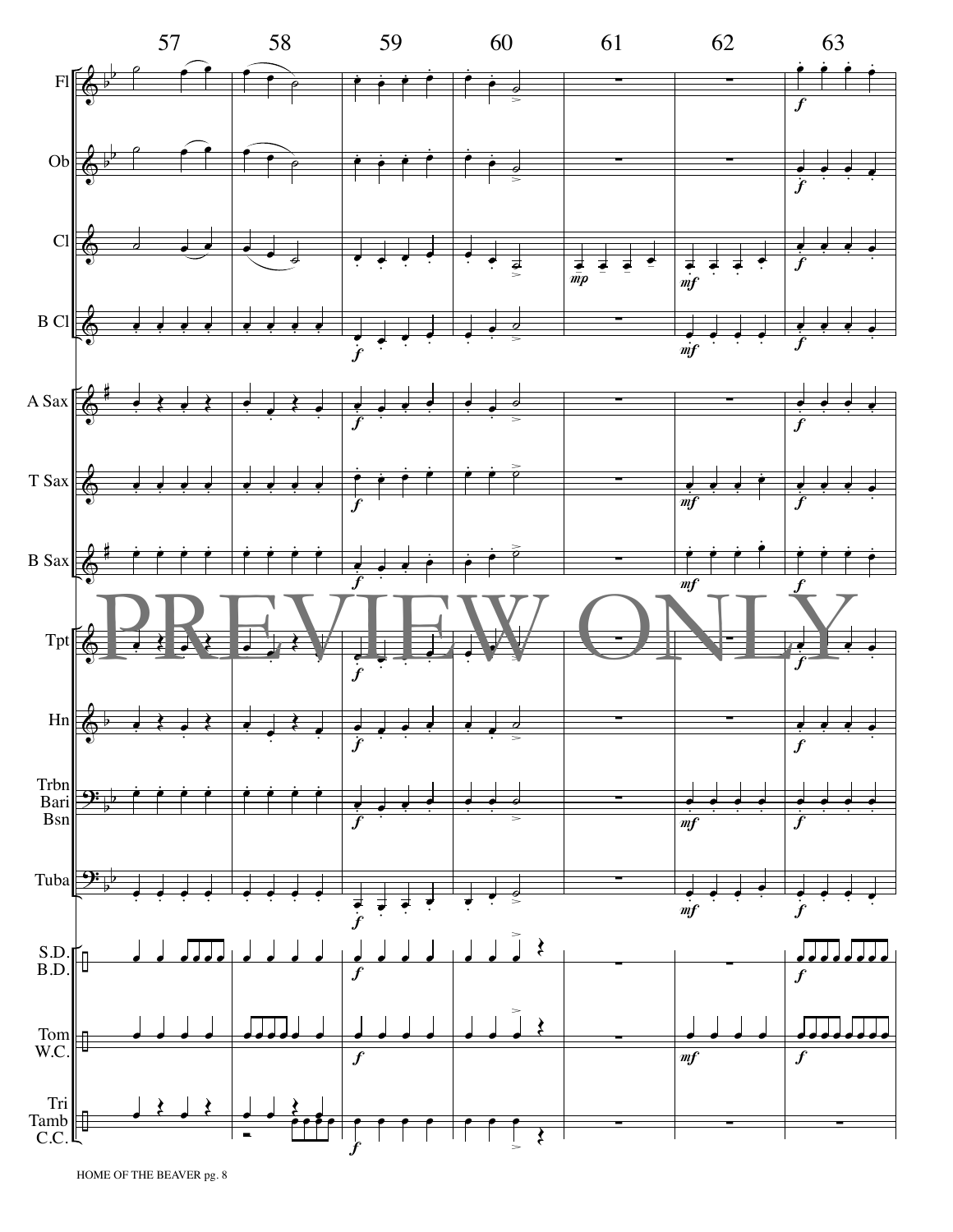